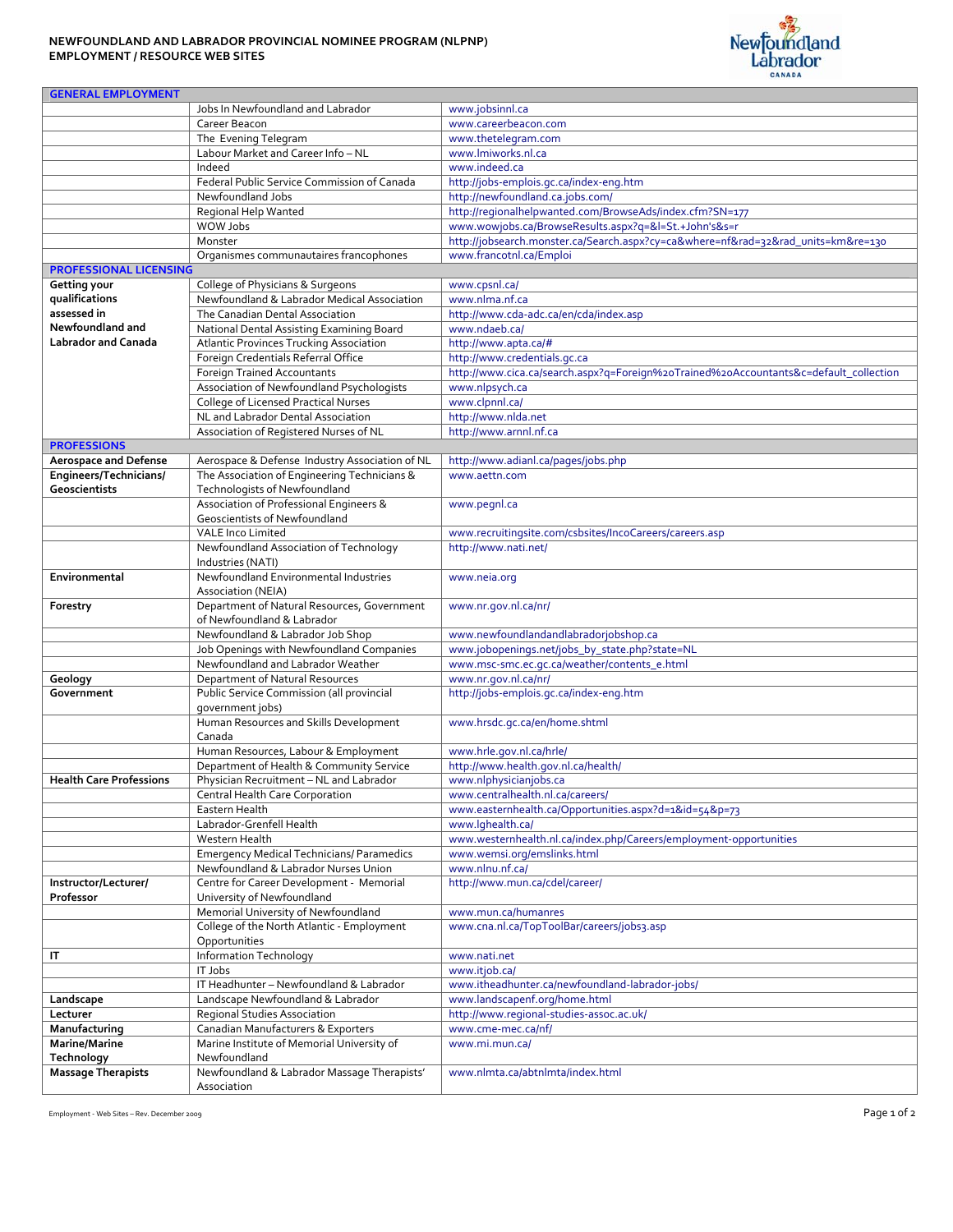## **NEWFOUNDLAND AND LABRADOR PROVINCIAL NOMINEE PROGRAM (NLPNP) EMPLOYMENT / RESOURCE WEB SITES**



| <b>GENERAL EMPLOYMENT</b>      |                                                                                             |                                                                                            |
|--------------------------------|---------------------------------------------------------------------------------------------|--------------------------------------------------------------------------------------------|
|                                | Jobs In Newfoundland and Labrador                                                           | www.jobsinnl.ca                                                                            |
|                                | Career Beacon                                                                               | www.careerbeacon.com                                                                       |
|                                | The Evening Telegram                                                                        | www.thetelegram.com                                                                        |
|                                | Labour Market and Career Info - NL                                                          | www.lmiworks.nl.ca                                                                         |
|                                | Indeed                                                                                      | www.indeed.ca                                                                              |
|                                | Federal Public Service Commission of Canada                                                 | http://jobs-emplois.gc.ca/index-eng.htm                                                    |
|                                | Newfoundland Jobs                                                                           | http://newfoundland.ca.jobs.com/                                                           |
|                                | Regional Help Wanted                                                                        | http://regionalhelpwanted.com/BrowseAds/index.cfm?SN=177                                   |
|                                | WOW Jobs                                                                                    | www.wowjobs.ca/BrowseResults.aspx?q=&l=St.+John's&s=r                                      |
|                                | Monster                                                                                     | http://jobsearch.monster.ca/Search.aspx?cy=ca&where=nf&rad=32&rad_units=km&re=130          |
|                                | Organismes communautaires francophones                                                      | www.francotnl.ca/Emploi                                                                    |
| <b>PROFESSIONAL LICENSING</b>  |                                                                                             |                                                                                            |
| Getting your                   | College of Physicians & Surgeons                                                            | www.cpsnl.ca/                                                                              |
| qualifications<br>assessed in  | Newfoundland & Labrador Medical Association                                                 | www.nlma.nf.ca                                                                             |
| Newfoundland and               | The Canadian Dental Association                                                             | http://www.cda-adc.ca/en/cda/index.asp                                                     |
| <b>Labrador and Canada</b>     | National Dental Assisting Examining Board<br><b>Atlantic Provinces Trucking Association</b> | www.ndaeb.ca/<br>http://www.apta.ca/#                                                      |
|                                | Foreign Credentials Referral Office                                                         | http://www.credentials.gc.ca                                                               |
|                                | <b>Foreign Trained Accountants</b>                                                          | http://www.cica.ca/search.aspx?q=Foreign%20Trained%20Accountants&c=default_collection      |
|                                | Association of Newfoundland Psychologists                                                   | www.nlpsych.ca                                                                             |
|                                | College of Licensed Practical Nurses                                                        | www.clpnnl.ca/                                                                             |
|                                | NL and Labrador Dental Association                                                          | http://www.nlda.net                                                                        |
|                                | Association of Registered Nurses of NL                                                      | http://www.arnnl.nf.ca                                                                     |
| <b>PROFESSIONS</b>             |                                                                                             |                                                                                            |
| <b>Aerospace and Defense</b>   | Aerospace & Defense Industry Association of NL                                              | http://www.adianl.ca/pages/jobs.php                                                        |
| Engineers/Technicians/         | The Association of Engineering Technicians &                                                | www.aettn.com                                                                              |
| <b>Geoscientists</b>           | Technologists of Newfoundland                                                               |                                                                                            |
|                                | Association of Professional Engineers &<br>Geoscientists of Newfoundland                    | www.pegnl.ca                                                                               |
|                                | <b>VALE Inco Limited</b>                                                                    | www.recruitingsite.com/csbsites/IncoCareers/careers.asp                                    |
|                                | Newfoundland Association of Technology<br>Industries (NATI)                                 | http://www.nati.net/                                                                       |
| Environmental                  | Newfoundland Environmental Industries<br>Association (NEIA)                                 | www.neia.org                                                                               |
| Forestry                       | Department of Natural Resources, Government<br>of Newfoundland & Labrador                   | www.nr.gov.nl.ca/nr/                                                                       |
|                                | Newfoundland & Labrador Job Shop                                                            | www.newfoundlandandlabradorjobshop.ca                                                      |
|                                | Job Openings with Newfoundland Companies                                                    | www.jobopenings.net/jobs_by_state.php?state=NL                                             |
|                                | Newfoundland and Labrador Weather                                                           | www.msc-smc.ec.gc.ca/weather/contents_e.html                                               |
| Geology                        | Department of Natural Resources                                                             | www.nr.gov.nl.ca/nr/                                                                       |
| Government                     | Public Service Commission (all provincial                                                   | http://jobs-emplois.gc.ca/index-eng.htm                                                    |
|                                | qovernment jobs)                                                                            |                                                                                            |
|                                | Human Resources and Skills Development                                                      | www.hrsdc.gc.ca/en/home.shtml                                                              |
|                                | Canada                                                                                      |                                                                                            |
|                                | Human Resources, Labour & Employment                                                        | www.hrle.gov.nl.ca/hrle/                                                                   |
|                                | Department of Health & Community Service                                                    | http://www.health.gov.nl.ca/health/                                                        |
| <b>Health Care Professions</b> | Physician Recruitment - NL and Labrador                                                     | www.nlphysicianjobs.ca                                                                     |
|                                | Central Health Care Corporation<br>Eastern Health                                           | www.centralhealth.nl.ca/careers/<br>www.easternhealth.ca/Opportunities.aspx?d=1&id=54&p=73 |
|                                | Labrador-Grenfell Health                                                                    | www.lghealth.ca/                                                                           |
|                                | Western Health                                                                              | www.westernhealth.nl.ca/index.php/Careers/employment-opportunities                         |
|                                | <b>Emergency Medical Technicians/ Paramedics</b>                                            | www.wemsi.org/emslinks.html                                                                |
|                                | Newfoundland & Labrador Nurses Union                                                        | www.nlnu.nf.ca/                                                                            |
| Instructor/Lecturer/           | Centre for Career Development - Memorial                                                    | http://www.mun.ca/cdel/career/                                                             |
| Professor                      | University of Newfoundland                                                                  |                                                                                            |
|                                | Memorial University of Newfoundland                                                         | www.mun.ca/humanres                                                                        |
|                                | College of the North Atlantic - Employment                                                  | www.cna.nl.ca/TopToolBar/careers/jobs3.asp                                                 |
|                                | Opportunities                                                                               |                                                                                            |
| IT                             | <b>Information Technology</b>                                                               | www.nati.net                                                                               |
|                                | IT Jobs                                                                                     | www.itjob.ca/                                                                              |
|                                | IT Headhunter - Newfoundland & Labrador                                                     | www.itheadhunter.ca/newfoundland-labrador-jobs/                                            |
| Landscape                      | Landscape Newfoundland & Labrador                                                           | www.landscapenf.org/home.html                                                              |
| Lecturer                       | <b>Regional Studies Association</b>                                                         | http://www.regional-studies-assoc.ac.uk/                                                   |
| Manufacturing                  | Canadian Manufacturers & Exporters<br>Marine Institute of Memorial University of            | www.cme-mec.ca/nf/                                                                         |
| Marine/Marine<br>Technology    | Newfoundland                                                                                | www.mi.mun.ca/                                                                             |
| <b>Massage Therapists</b>      | Newfoundland & Labrador Massage Therapists'                                                 | www.nlmta.ca/abtnlmta/index.html                                                           |
|                                | Association                                                                                 |                                                                                            |

Employment - Web Sites - Rev. December 2009 **Page 1 of 2**